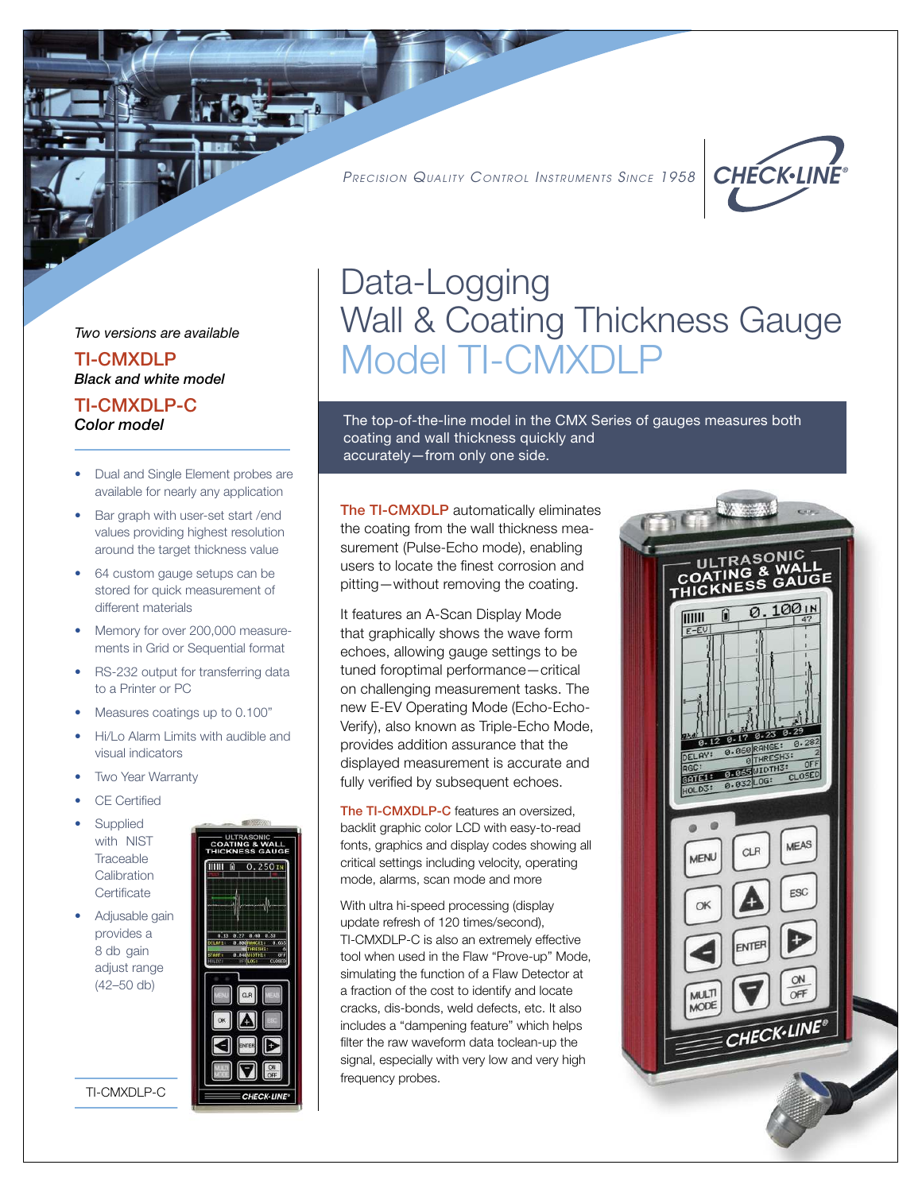PRECISION QUALITY CONTROL INSTRUMENTS SINCE 1958



Two versions are available

TI-CMXDLP Black and white model

TI-CMXDLP-C

- Dual and Single Element probes are available for nearly any application
- Bar graph with user-set start / end values providing highest resolution around the target thickness value
- 64 custom gauge setups can be stored for quick measurement of different materials
- Memory for over 200,000 measure ments in Grid or Sequential format
- RS-232 output for transferring data to a Printer or PC
- Measures coatings up to 0.100"
- Hi/Lo Alarm Limits with audible and visual indicators
- **Two Year Warranty**
- CE Certified
- **Supplied**  with NIST **Traceable Calibration** Certificate
- Adjusable gain provides a 8 db gain adjust range (42–50 db)

TI-CMXDLP-C



# Data-Logging Wall & Coating Thickness Gauge Model TI-CMXDLI

Color model The top-of-the-line model in the CMX Series of gauges measures both coating and wall thickness quickly and accurately—from only one side.

> The TI-CMXDLP automatically eliminates the coating from the wall thickness measurement (Pulse-Echo mode), enabling users to locate the finest corrosion and pitting—without removing the coating.

It features an A-Scan Display Mode that graphically shows the wave form echoes, allowing gauge settings to be tuned foroptimal performance—critical on challenging measurement tasks. The new E-EV Operating Mode (Echo-Echo-Verify), also known as Triple-Echo Mode, provides addition assurance that the displayed measurement is accurate and fully verified by subsequent echoes.

The TI-CMXDLP-C features an oversized, backlit graphic color LCD with easy-to-read fonts, graphics and display codes showing all critical settings including velocity, operating mode, alarms, scan mode and more

With ultra hi-speed processing (display update refresh of 120 times/second), TI-CMXDLP-C is also an extremely effective tool when used in the Flaw "Prove-up" Mode, simulating the function of a Flaw Detector at a fraction of the cost to identify and locate cracks, dis-bonds, weld defects, etc. It also includes a "dampening feature" which helps filter the raw waveform data toclean-up the signal, especially with very low and very high frequency probes.